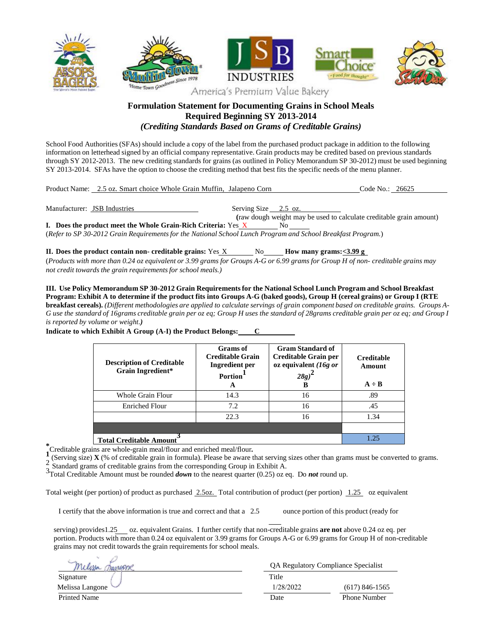

## **Formulation Statement for Documenting Grains in School Meals Required Beginning SY 2013-2014** *(Crediting Standards Based on Grams of Creditable Grains)*

School Food Authorities (SFAs) should include a copy of the label from the purchased product package in addition to the following information on letterhead signed by an official company representative. Grain products may be credited based on previous standards through SY 2012-2013. The new crediting standards for grains (as outlined in Policy Memorandum SP 30-2012) must be used beginning SY 2013-2014. SFAs have the option to choose the crediting method that best fits the specific needs of the menu planner.

| Product Name: 2.5 oz. Smart choice Whole Grain Muffin. Jalapeno Corn |                      |                                                                     | Code No.: 26625 |  |
|----------------------------------------------------------------------|----------------------|---------------------------------------------------------------------|-----------------|--|
|                                                                      |                      |                                                                     |                 |  |
| Manufacturer: JSB Industries                                         | Serving Size 2.5 oz. |                                                                     |                 |  |
|                                                                      |                      | (raw dough weight may be used to calculate creditable grain amount) |                 |  |

**I.** Does the product meet the Whole Grain-Rich Criteria: Yes X (*Refer to SP 30-2012 Grain Requirementsfor the National School Lunch Program and School Breakfast Program.*)

**II.** Does the product contain non- creditable grains: Yes X No **However M** Bow many grams: <3.99 g (Products with more than 0.24 oz equivalent or 3.99 grams for Groups A-G or 6.99 grams for Group H of non- creditable grains may *not credit towards the grain requirementsfor school meals.)*

**III. Use Policy Memorandum SP 30-2012 Grain Requirementsfor the National School Lunch Program and School Breakfast** Program: Exhibit A to determine if the product fits into Groups A-G (baked goods), Group H (cereal grains) or Group I (RTE **breakfast cereals).** (Different methodologies are applied to calculate servings of grain component based on creditable grains. Groups A-G use the standard of 16grams creditable grain per oz eq; Group H uses the standard of 28grams creditable grain per oz eq; and Group I *is reported by volume or weight.)*

> **Description of Creditable Grain Ingredient\* Grams of Creditable Grain Ingredient per Portion 1 A Gram Standard of Creditable Grain per oz equivalent** *(16g or 28g)* **2 B Creditable Amount**  $A \div B$ Whole Grain Flour 14.3 16 16 .89 Enriched Flour 1.2 16 16 .45 22.3 16 1.34 **Total Creditable Amount 3** 1.25

**Indicate to which Exhibit A Group (A-I) the Product Belongs:** 

\***Creditable grains are whole-grain meal/flour and enriched meal/flour.<br>
<b>1** (Serving size) **Y** (% of creditable grain in formula). Please be aware to

(Serving size) **X** (% of creditable grain in formula). Please be aware that serving sizes other than grams must be converted to grams.

2 Standard grams of creditable grains from the corresponding Group in Exhibit A.

3Total Creditable Amount must be rounded *down* to the nearest quarter (0.25) oz eq. Do *not* round up.

Total weight (per portion) of product as purchased 2.5oz. Total contribution of product (per portion) 1.25 oz equivalent

I certify that the above information is true and correct and that a 2.5 ounce portion of this product (ready for

serving) provides1.25 oz. equivalent Grains. I further certify that non-creditable grains **are not** above 0.24 oz eq. per portion. Products with more than 0.24 oz equivalent or 3.99 grams for Groups A-G or 6.99 grams for Group H of non-creditable grains may not credit towards the grain requirements for school meals.

|                        | <b>QA Regulatory Compliance Specialist</b> |                     |  |
|------------------------|--------------------------------------------|---------------------|--|
| Signature              | Title                                      |                     |  |
| Melissa Langone $\vee$ | 1/28/2022                                  | $(617)$ 846-1565    |  |
| Printed Name           | Date                                       | <b>Phone Number</b> |  |